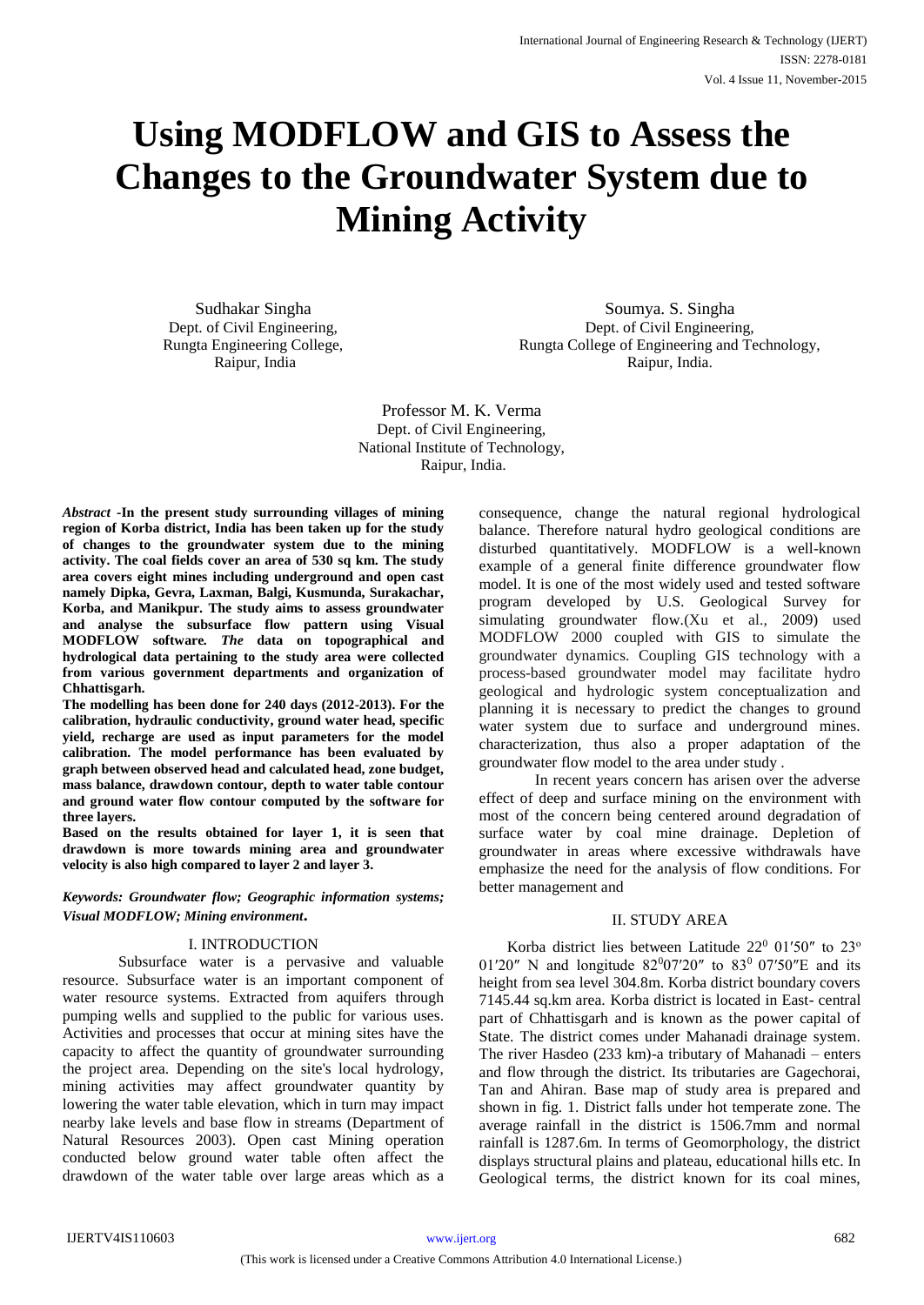# **Using MODFLOW and GIS to Assess the Changes to the Groundwater System due to Mining Activity**

Sudhakar Singha Dept. of Civil Engineering, Rungta Engineering College, Raipur, India

Soumya. S. Singha Dept. of Civil Engineering, Rungta College of Engineering and Technology, Raipur, India.

Professor M. K. Verma Dept. of Civil Engineering, National Institute of Technology, Raipur, India.

*Abstract* **-In the present study surrounding villages of mining region of Korba district, India has been taken up for the study of changes to the groundwater system due to the mining activity. The coal fields cover an area of 530 sq km. The study area covers eight mines including underground and open cast namely Dipka, Gevra, Laxman, Balgi, Kusmunda, Surakachar, Korba, and Manikpur. The study aims to assess groundwater and analyse the subsurface flow pattern using Visual MODFLOW software***. The* **data on topographical and hydrological data pertaining to the study area were collected from various government departments and organization of Chhattisgarh.** 

**The modelling has been done for 240 days (2012-2013). For the calibration, hydraulic conductivity, ground water head, specific yield, recharge are used as input parameters for the model calibration. The model performance has been evaluated by graph between observed head and calculated head, zone budget, mass balance, drawdown contour, depth to water table contour and ground water flow contour computed by the software for three layers.** 

**Based on the results obtained for layer 1, it is seen that drawdown is more towards mining area and groundwater velocity is also high compared to layer 2 and layer 3.**

*Keywords: Groundwater flow; Geographic information systems; Visual MODFLOW; Mining environment***.**

# I. INTRODUCTION

Subsurface water is a pervasive and valuable resource. Subsurface water is an important component of water resource systems. Extracted from aquifers through pumping wells and supplied to the public for various uses. Activities and processes that occur at mining sites have the capacity to affect the quantity of groundwater surrounding the project area. Depending on the site's local hydrology, mining activities may affect groundwater quantity by lowering the water table elevation, which in turn may impact nearby lake levels and base flow in streams (Department of Natural Resources 2003). Open cast Mining operation conducted below ground water table often affect the drawdown of the water table over large areas which as a

consequence, change the natural regional hydrological balance. Therefore natural hydro geological conditions are disturbed quantitatively. MODFLOW is a well-known example of a general finite difference groundwater flow model. It is one of the most widely used and tested software program developed by U.S. Geological Survey for simulating groundwater flow.(Xu et al., 2009) used MODFLOW 2000 coupled with GIS to simulate the groundwater dynamics. Coupling GIS technology with a process-based groundwater model may facilitate hydro geological and hydrologic system conceptualization and planning it is necessary to predict the changes to ground water system due to surface and underground mines. characterization, thus also a proper adaptation of the groundwater flow model to the area under study .

In recent years concern has arisen over the adverse effect of deep and surface mining on the environment with most of the concern being centered around degradation of surface water by coal mine drainage. Depletion of groundwater in areas where excessive withdrawals have emphasize the need for the analysis of flow conditions. For better management and

# II. STUDY AREA

Korba district lies between Latitude  $22^0$  01'50" to  $23^{\circ}$ 01'20" N and longitude  $82^{0}07'20''$  to  $83^{0}07'50''E$  and its height from sea level 304.8m. Korba district boundary covers 7145.44 sq.km area. Korba district is located in East- central part of Chhattisgarh and is known as the power capital of State. The district comes under Mahanadi drainage system. The river Hasdeo (233 km)-a tributary of Mahanadi – enters and flow through the district. Its tributaries are Gagechorai, Tan and Ahiran. Base map of study area is prepared and shown in fig. 1. District falls under hot temperate zone. The average rainfall in the district is 1506.7mm and normal rainfall is 1287.6m. In terms of Geomorphology, the district displays structural plains and plateau, educational hills etc. In Geological terms, the district known for its coal mines,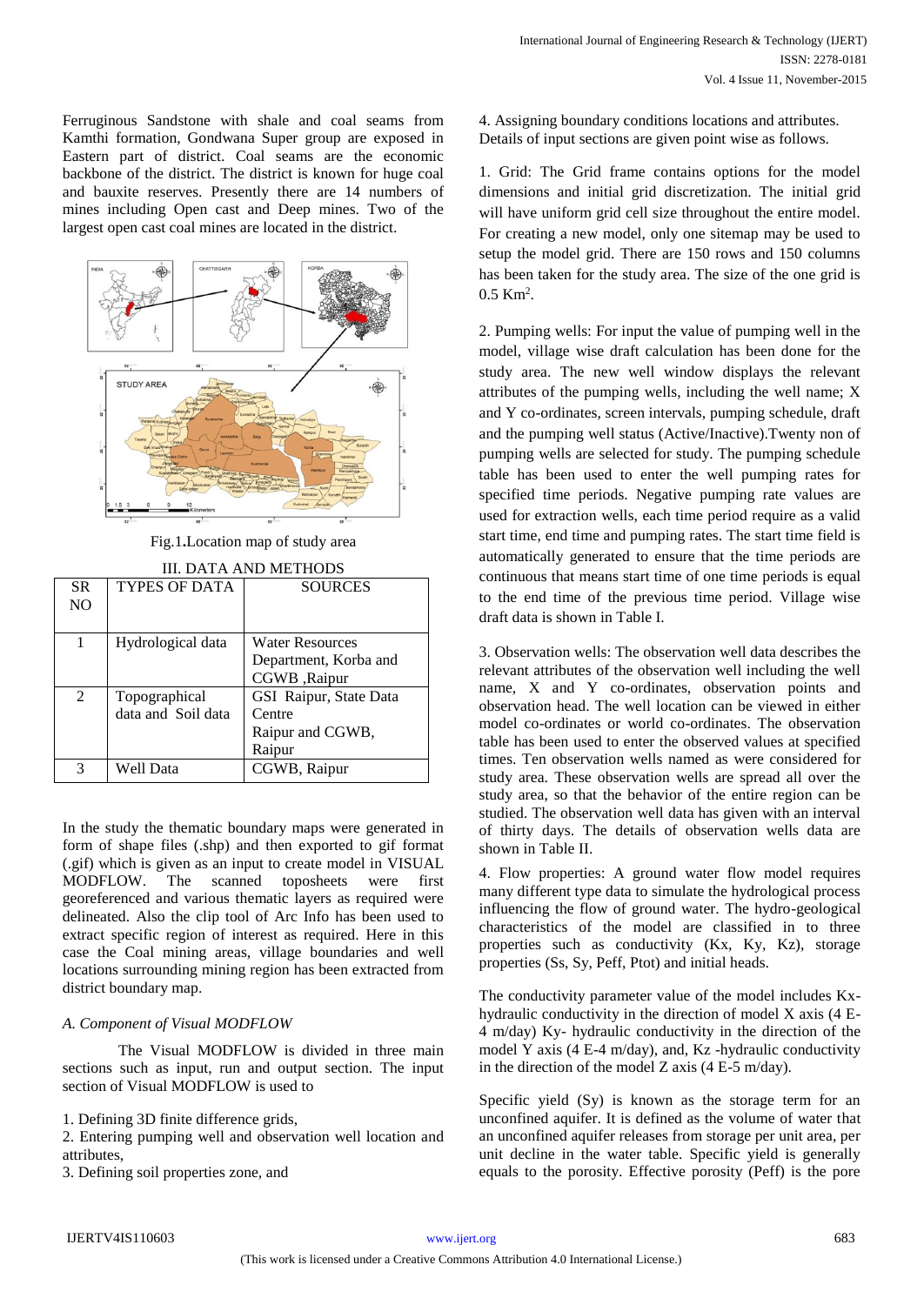Ferruginous Sandstone with shale and coal seams from Kamthi formation, Gondwana Super group are exposed in Eastern part of district. Coal seams are the economic backbone of the district. The district is known for huge coal and bauxite reserves. Presently there are 14 numbers of mines including Open cast and Deep mines. Two of the largest open cast coal mines are located in the district.



Fig.1**.**Location map of study area

| SR.<br>NO | TYPES OF DATA      | <b>SOURCES</b>         |  |
|-----------|--------------------|------------------------|--|
|           |                    |                        |  |
|           | Hydrological data  | <b>Water Resources</b> |  |
|           |                    | Department, Korba and  |  |
|           |                    | CGWB ,Raipur           |  |
| 2         | Topographical      | GSI Raipur, State Data |  |
|           | data and Soil data | Centre                 |  |
|           |                    | Raipur and CGWB,       |  |
|           |                    | Raipur                 |  |
| 3         | Well Data          | CGWB, Raipur           |  |

In the study the thematic boundary maps were generated in form of shape files (.shp) and then exported to gif format (.gif) which is given as an input to create model in VISUAL MODFLOW. The scanned toposheets were first georeferenced and various thematic layers as required were delineated. Also the clip tool of Arc Info has been used to extract specific region of interest as required. Here in this case the Coal mining areas, village boundaries and well locations surrounding mining region has been extracted from district boundary map.

# *A. Component of Visual MODFLOW*

The Visual MODFLOW is divided in three main sections such as input, run and output section. The input section of Visual MODFLOW is used to

1. Defining 3D finite difference grids,

2. Entering pumping well and observation well location and attributes,

3. Defining soil properties zone, and

4. Assigning boundary conditions locations and attributes. Details of input sections are given point wise as follows.

1. Grid: The Grid frame contains options for the model dimensions and initial grid discretization. The initial grid will have uniform grid cell size throughout the entire model. For creating a new model, only one sitemap may be used to setup the model grid. There are 150 rows and 150 columns has been taken for the study area. The size of the one grid is  $0.5 \text{ Km}^2$ .

2. Pumping wells: For input the value of pumping well in the model, village wise draft calculation has been done for the study area. The new well window displays the relevant attributes of the pumping wells, including the well name; X and Y co-ordinates, screen intervals, pumping schedule, draft and the pumping well status (Active/Inactive).Twenty non of pumping wells are selected for study. The pumping schedule table has been used to enter the well pumping rates for specified time periods. Negative pumping rate values are used for extraction wells, each time period require as a valid start time, end time and pumping rates. The start time field is automatically generated to ensure that the time periods are continuous that means start time of one time periods is equal to the end time of the previous time period. Village wise draft data is shown in Table I.

3. Observation wells: The observation well data describes the relevant attributes of the observation well including the well name, X and Y co-ordinates, observation points and observation head. The well location can be viewed in either model co-ordinates or world co-ordinates. The observation table has been used to enter the observed values at specified times. Ten observation wells named as were considered for study area. These observation wells are spread all over the study area, so that the behavior of the entire region can be studied. The observation well data has given with an interval of thirty days. The details of observation wells data are shown in Table II.

4. Flow properties: A ground water flow model requires many different type data to simulate the hydrological process influencing the flow of ground water. The hydro-geological characteristics of the model are classified in to three properties such as conductivity (Kx, Ky, Kz), storage properties (Ss, Sy, Peff, Ptot) and initial heads.

The conductivity parameter value of the model includes Kxhydraulic conductivity in the direction of model X axis (4 E-4 m/day) Ky- hydraulic conductivity in the direction of the model Y axis (4 E-4 m/day), and, Kz -hydraulic conductivity in the direction of the model Z axis (4 E-5 m/day).

Specific yield (Sy) is known as the storage term for an unconfined aquifer. It is defined as the volume of water that an unconfined aquifer releases from storage per unit area, per unit decline in the water table. Specific yield is generally equals to the porosity. Effective porosity (Peff) is the pore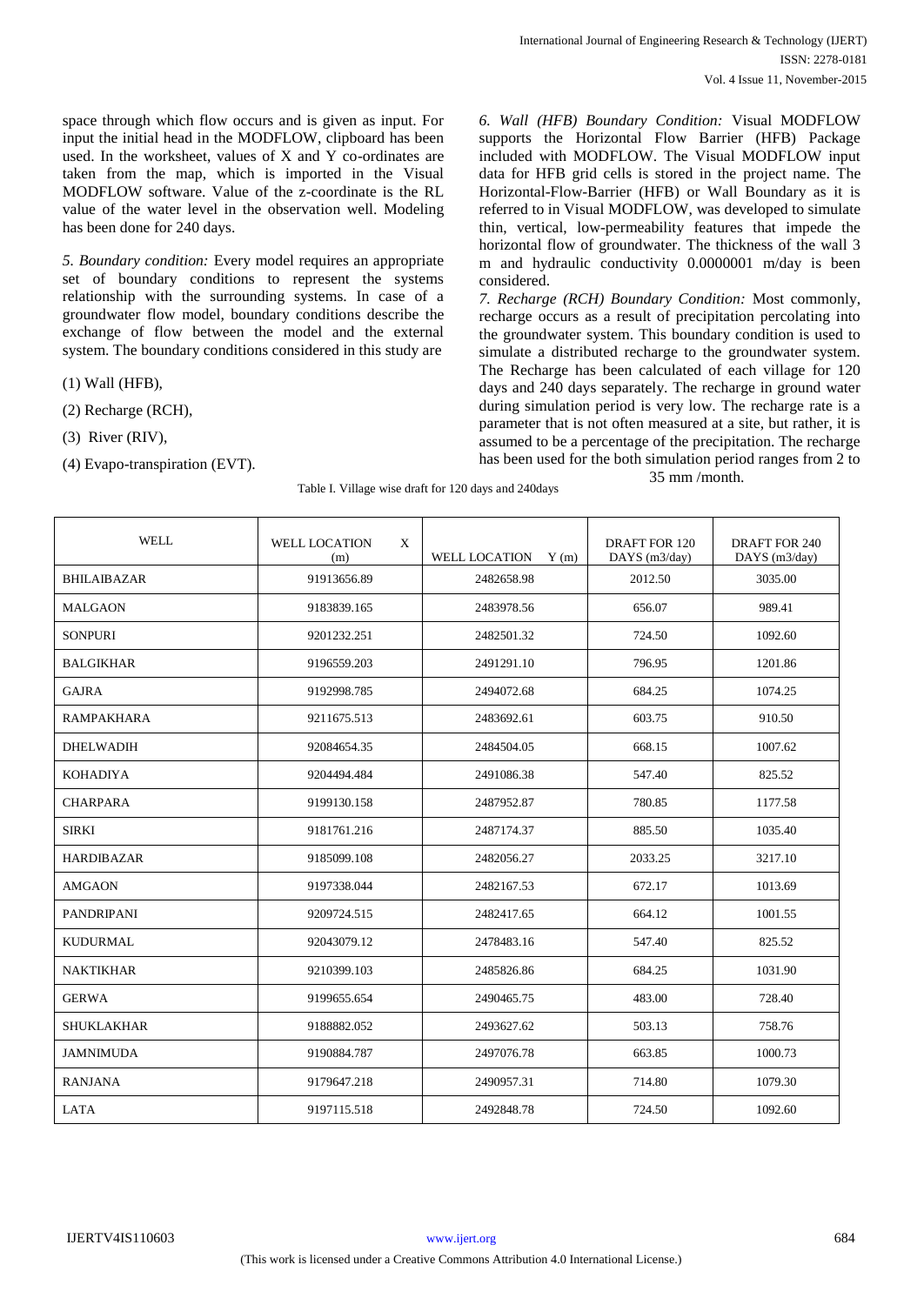space through which flow occurs and is given as input. For input the initial head in the MODFLOW, clipboard has been used. In the worksheet, values of X and Y co-ordinates are taken from the map, which is imported in the Visual MODFLOW software. Value of the z-coordinate is the RL value of the water level in the observation well. Modeling has been done for 240 days.

*5. Boundary condition:* Every model requires an appropriate set of boundary conditions to represent the systems relationship with the surrounding systems. In case of a groundwater flow model, boundary conditions describe the exchange of flow between the model and the external system. The boundary conditions considered in this study are

(1) Wall (HFB),

- (2) Recharge (RCH),
- (3) River (RIV),
- (4) Evapo-transpiration (EVT).

*6. Wall (HFB) Boundary Condition:* Visual MODFLOW supports the Horizontal Flow Barrier (HFB) Package included with MODFLOW. The Visual MODFLOW input data for HFB grid cells is stored in the project name. The Horizontal-Flow-Barrier (HFB) or Wall Boundary as it is referred to in Visual MODFLOW, was developed to simulate thin, vertical, low-permeability features that impede the horizontal flow of groundwater. The thickness of the wall 3 m and hydraulic conductivity 0.0000001 m/day is been considered.

*7. Recharge (RCH) Boundary Condition:* Most commonly, recharge occurs as a result of precipitation percolating into the groundwater system. This boundary condition is used to simulate a distributed recharge to the groundwater system. The Recharge has been calculated of each village for 120 days and 240 days separately. The recharge in ground water during simulation period is very low. The recharge rate is a parameter that is not often measured at a site, but rather, it is assumed to be a percentage of the precipitation. The recharge has been used for the both simulation period ranges from 2 to 35 mm /month.

Table I. Village wise draft for 120 days and 240days

| <b>WELL</b>        | <b>WELL LOCATION</b><br>X<br>(m) | <b>WELL LOCATION</b><br>Y(m) | <b>DRAFT FOR 120</b><br>DAYS (m3/day) | DRAFT FOR 240<br>DAYS (m3/day) |
|--------------------|----------------------------------|------------------------------|---------------------------------------|--------------------------------|
| <b>BHILAIBAZAR</b> | 91913656.89                      | 2482658.98                   | 2012.50                               | 3035.00                        |
| <b>MALGAON</b>     | 9183839.165                      | 2483978.56                   | 656.07                                | 989.41                         |
| <b>SONPURI</b>     | 9201232.251                      | 2482501.32                   | 724.50                                | 1092.60                        |
| <b>BALGIKHAR</b>   | 9196559.203                      | 2491291.10                   | 796.95                                | 1201.86                        |
| <b>GAJRA</b>       | 9192998.785                      | 2494072.68                   | 684.25                                | 1074.25                        |
| <b>RAMPAKHARA</b>  | 9211675.513                      | 2483692.61                   | 603.75                                | 910.50                         |
| <b>DHELWADIH</b>   | 92084654.35                      | 2484504.05                   | 668.15                                | 1007.62                        |
| <b>KOHADIYA</b>    | 9204494.484                      | 2491086.38                   | 547.40                                | 825.52                         |
| <b>CHARPARA</b>    | 9199130.158                      | 2487952.87                   | 780.85                                | 1177.58                        |
| <b>SIRKI</b>       | 9181761.216                      | 2487174.37                   | 885.50                                | 1035.40                        |
| <b>HARDIBAZAR</b>  | 9185099.108                      | 2482056.27                   | 2033.25                               | 3217.10                        |
| <b>AMGAON</b>      | 9197338.044                      | 2482167.53                   | 672.17                                | 1013.69                        |
| <b>PANDRIPANI</b>  | 9209724.515                      | 2482417.65                   | 664.12                                | 1001.55                        |
| <b>KUDURMAL</b>    | 92043079.12                      | 2478483.16                   | 547.40                                | 825.52                         |
| <b>NAKTIKHAR</b>   | 9210399.103                      | 2485826.86                   | 684.25                                | 1031.90                        |
| <b>GERWA</b>       | 9199655.654                      | 2490465.75                   | 483.00                                | 728.40                         |
| SHUKLAKHAR         | 9188882.052                      | 2493627.62                   | 503.13                                | 758.76                         |
| <b>JAMNIMUDA</b>   | 9190884.787                      | 2497076.78                   | 663.85                                | 1000.73                        |
| <b>RANJANA</b>     | 9179647.218                      | 2490957.31                   | 714.80                                | 1079.30                        |
| <b>LATA</b>        | 9197115.518                      | 2492848.78                   | 724.50                                | 1092.60                        |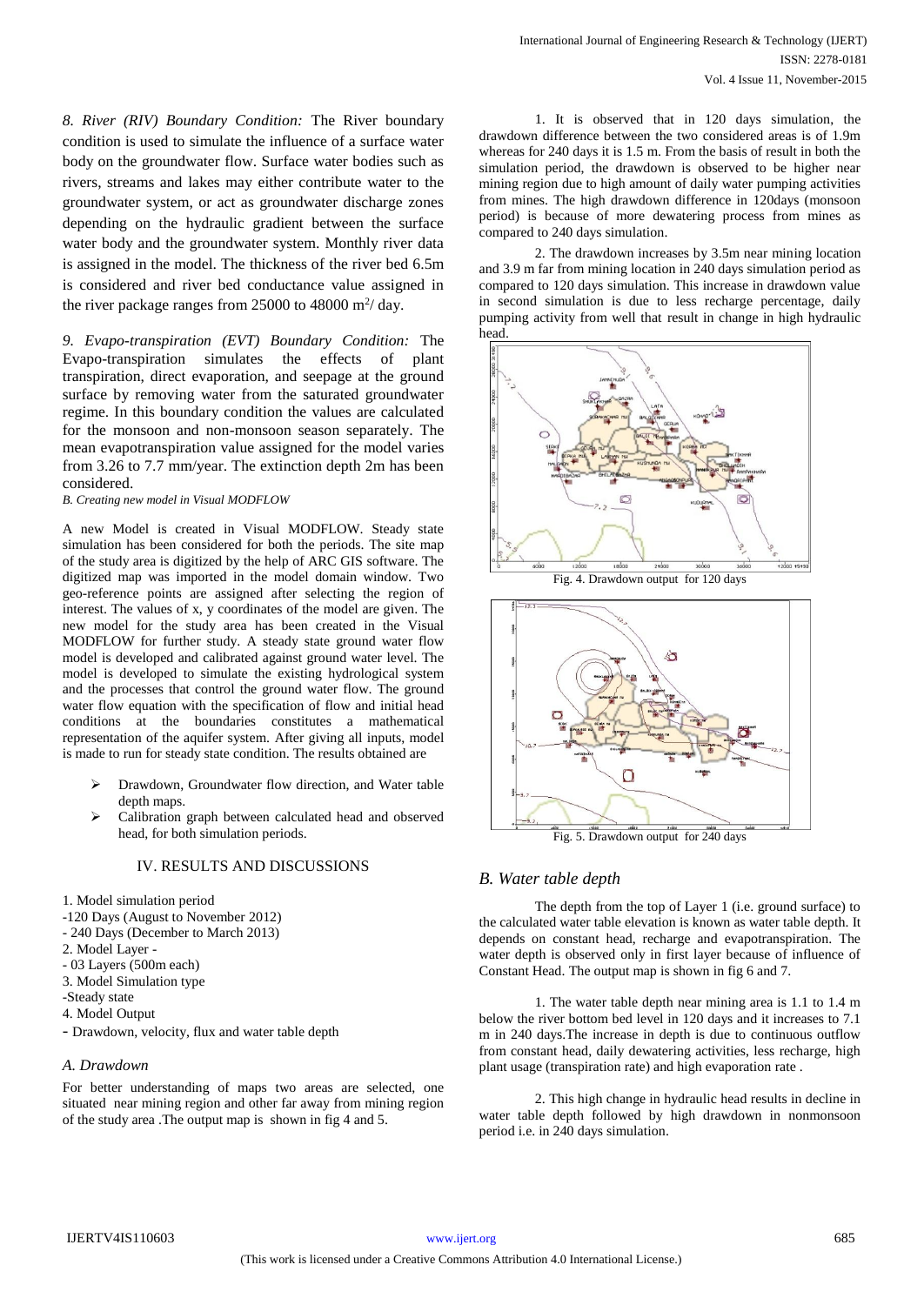*8. River (RIV) Boundary Condition:* The River boundary condition is used to simulate the influence of a surface water body on the groundwater flow. Surface water bodies such as rivers, streams and lakes may either contribute water to the groundwater system, or act as groundwater discharge zones depending on the hydraulic gradient between the surface water body and the groundwater system. Monthly river data is assigned in the model. The thickness of the river bed 6.5m is considered and river bed conductance value assigned in the river package ranges from  $25000$  to  $48000$  m<sup>2</sup>/day.

*9. Evapo-transpiration (EVT) Boundary Condition:* The Evapo-transpiration simulates the effects of plant transpiration, direct evaporation, and seepage at the ground surface by removing water from the saturated groundwater regime. In this boundary condition the values are calculated for the monsoon and non-monsoon season separately. The mean evapotranspiration value assigned for the model varies from 3.26 to 7.7 mm/year. The extinction depth 2m has been considered.

*B. Creating new model in Visual MODFLOW*

A new Model is created in Visual MODFLOW. Steady state simulation has been considered for both the periods. The site map of the study area is digitized by the help of ARC GIS software. The digitized map was imported in the model domain window. Two geo-reference points are assigned after selecting the region of interest. The values of x, y coordinates of the model are given. The new model for the study area has been created in the Visual MODFLOW for further study. A steady state ground water flow model is developed and calibrated against ground water level. The model is developed to simulate the existing hydrological system and the processes that control the ground water flow. The ground water flow equation with the specification of flow and initial head conditions at the boundaries constitutes a mathematical representation of the aquifer system. After giving all inputs, model is made to run for steady state condition. The results obtained are

- Drawdown, Groundwater flow direction, and Water table depth maps.
- Calibration graph between calculated head and observed head, for both simulation periods.

### IV. RESULTS AND DISCUSSIONS

- 1. Model simulation period
- -120 Days (August to November 2012)
- 240 Days (December to March 2013)
- 2. Model Layer -
- 03 Layers (500m each)
- 3. Model Simulation type
- -Steady state
- 4. Model Output
- Drawdown, velocity, flux and water table depth

#### *A. Drawdown*

For better understanding of maps two areas are selected, one situated near mining region and other far away from mining region of the study area .The output map is shown in fig 4 and 5.

1. It is observed that in 120 days simulation, the drawdown difference between the two considered areas is of 1.9m whereas for 240 days it is 1.5 m. From the basis of result in both the simulation period, the drawdown is observed to be higher near mining region due to high amount of daily water pumping activities from mines. The high drawdown difference in 120days (monsoon period) is because of more dewatering process from mines as compared to 240 days simulation.

2. The drawdown increases by 3.5m near mining location and 3.9 m far from mining location in 240 days simulation period as compared to 120 days simulation. This increase in drawdown value in second simulation is due to less recharge percentage, daily pumping activity from well that result in change in high hydraulic head.





Fig. 5. Drawdown output for 240 days

### *B. Water table depth*

The depth from the top of Layer 1 (i.e. ground surface) to the calculated water table elevation is known as water table depth. It depends on constant head, recharge and evapotranspiration. The water depth is observed only in first layer because of influence of Constant Head. The output map is shown in fig 6 and 7.

1. The water table depth near mining area is 1.1 to 1.4 m below the river bottom bed level in 120 days and it increases to 7.1 m in 240 days.The increase in depth is due to continuous outflow from constant head, daily dewatering activities, less recharge, high plant usage (transpiration rate) and high evaporation rate .

2. This high change in hydraulic head results in decline in water table depth followed by high drawdown in nonmonsoon period i.e. in 240 days simulation.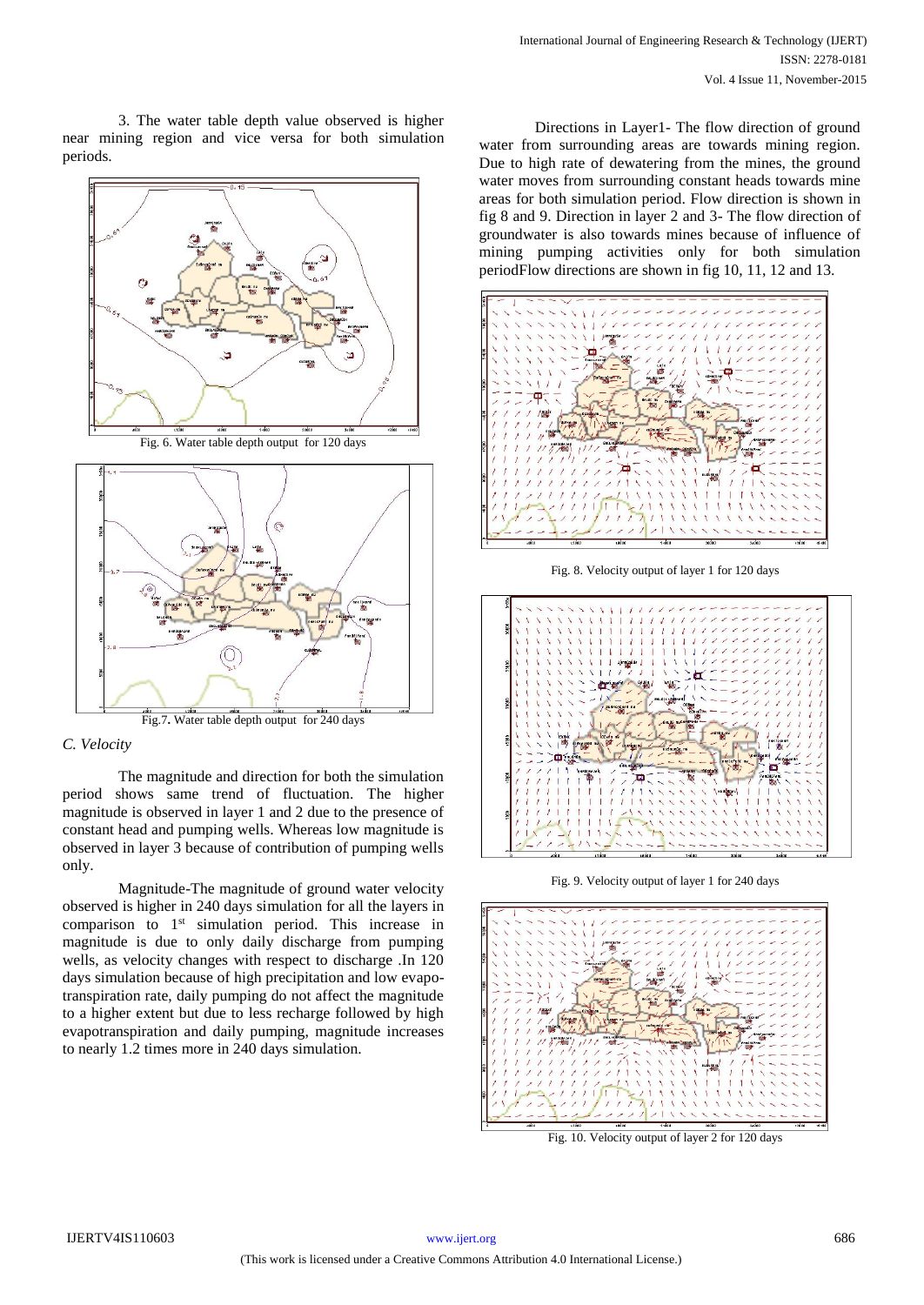3. The water table depth value observed is higher near mining region and vice versa for both simulation periods.







# *C. Velocity*

The magnitude and direction for both the simulation period shows same trend of fluctuation. The higher magnitude is observed in layer 1 and 2 due to the presence of constant head and pumping wells. Whereas low magnitude is observed in layer 3 because of contribution of pumping wells only.

Magnitude-The magnitude of ground water velocity observed is higher in 240 days simulation for all the layers in comparison to 1<sup>st</sup> simulation period. This increase in magnitude is due to only daily discharge from pumping wells, as velocity changes with respect to discharge .In 120 days simulation because of high precipitation and low evapotranspiration rate, daily pumping do not affect the magnitude to a higher extent but due to less recharge followed by high evapotranspiration and daily pumping, magnitude increases to nearly 1.2 times more in 240 days simulation.

Directions in Layer1- The flow direction of ground water from surrounding areas are towards mining region. Due to high rate of dewatering from the mines, the ground water moves from surrounding constant heads towards mine areas for both simulation period. Flow direction is shown in fig 8 and 9. Direction in layer 2 and 3- The flow direction of groundwater is also towards mines because of influence of mining pumping activities only for both simulation periodFlow directions are shown in fig 10, 11, 12 and 13.



Fig. 8. Velocity output of layer 1 for 120 days



Fig. 9. Velocity output of layer 1 for 240 days



Fig. 10. Velocity output of layer 2 for 120 days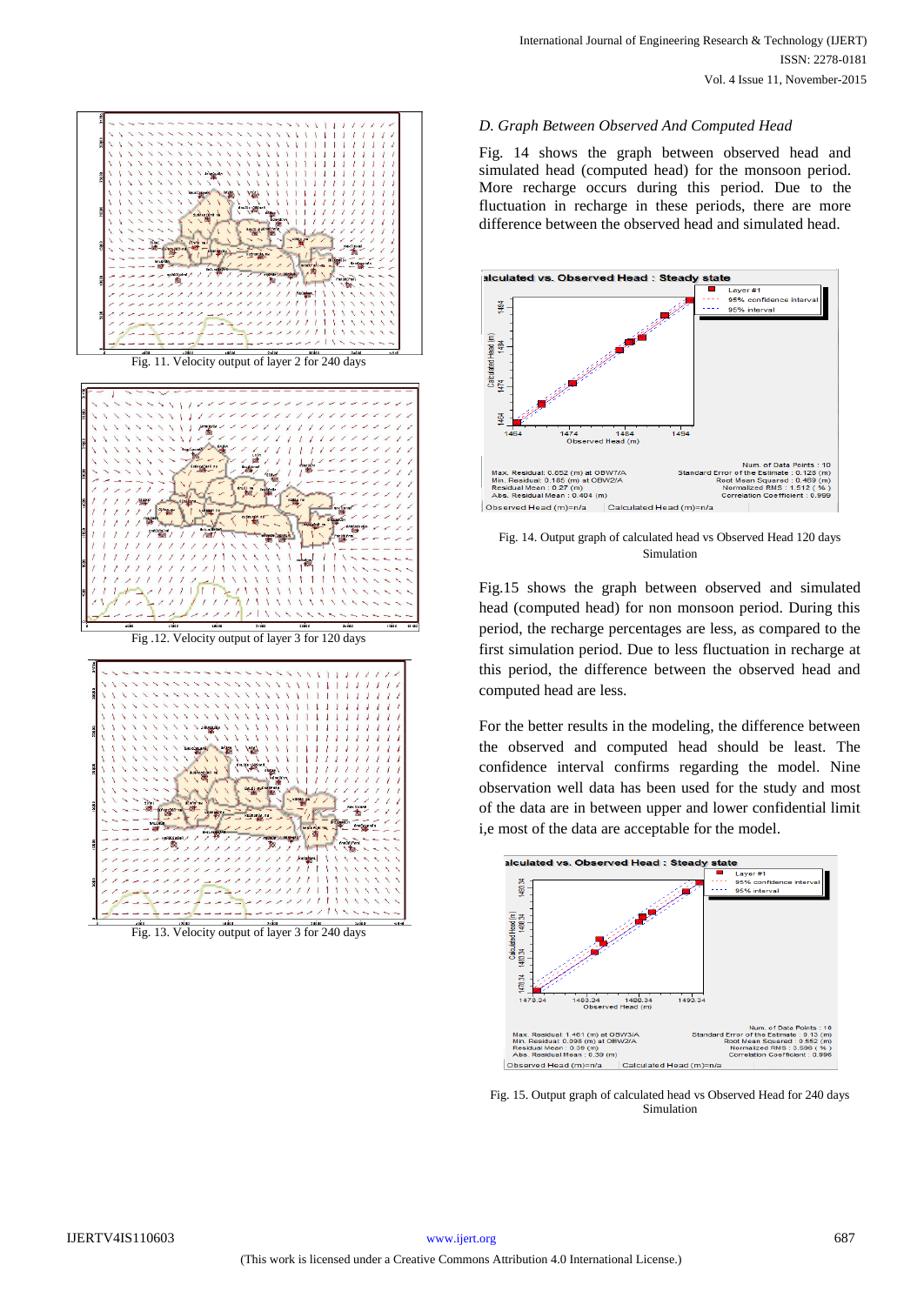

Fig. 13. Velocity output of layer 3 for 240 days

## *D. Graph Between Observed And Computed Head*

Fig. 14 shows the graph between observed head and simulated head (computed head) for the monsoon period. More recharge occurs during this period. Due to the fluctuation in recharge in these periods, there are more difference between the observed head and simulated head.



Fig. 14. Output graph of calculated head vs Observed Head 120 days Simulation

Fig.15 shows the graph between observed and simulated head (computed head) for non monsoon period. During this period, the recharge percentages are less, as compared to the first simulation period. Due to less fluctuation in recharge at this period, the difference between the observed head and computed head are less.

For the better results in the modeling, the difference between the observed and computed head should be least. The confidence interval confirms regarding the model. Nine observation well data has been used for the study and most of the data are in between upper and lower confidential limit i,e most of the data are acceptable for the model.



Fig. 15. Output graph of calculated head vs Observed Head for 240 days Simulation